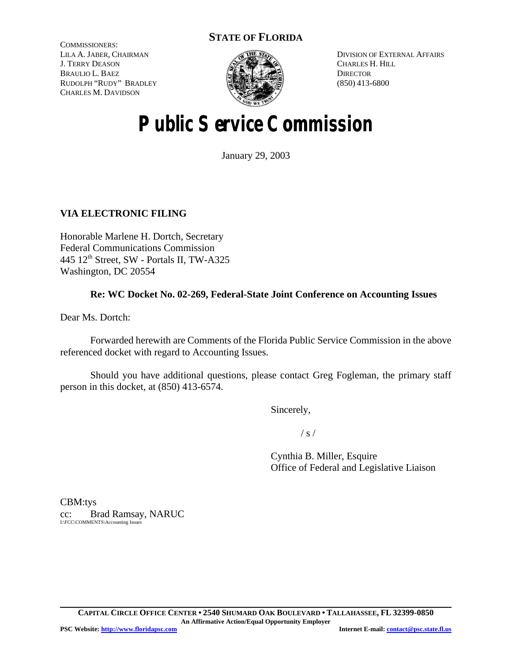# **STATE OF FLORIDA**

COMMISSIONERS: LILA A. JABER, CHAIRMAN J. TERRY DEASON BRAULIO L. BAEZ RUDOLPH "RUDY" BRADLEY CHARLES M. DAVIDSON



DIVISION OF EXTERNAL AFFAIRS CHARLES H. HILL **DIRECTOR** (850) 413-6800

# **Public Service Commission**

January 29, 2003

## **VIA ELECTRONIC FILING**

Honorable Marlene H. Dortch, Secretary Federal Communications Commission 445 12<sup>th</sup> Street, SW - Portals II, TW-A325 Washington, DC 20554

## **Re: WC Docket No. 02-269, Federal-State Joint Conference on Accounting Issues**

Dear Ms. Dortch:

Forwarded herewith are Comments of the Florida Public Service Commission in the above referenced docket with regard to Accounting Issues.

Should you have additional questions, please contact Greg Fogleman, the primary staff person in this docket, at (850) 413-6574.

Sincerely,

 $/ s /$ 

Cynthia B. Miller, Esquire Office of Federal and Legislative Liaison

CBM:tys cc: Brad Ramsay, NARUC I:\FCC\COMMENTS\Accounting Issues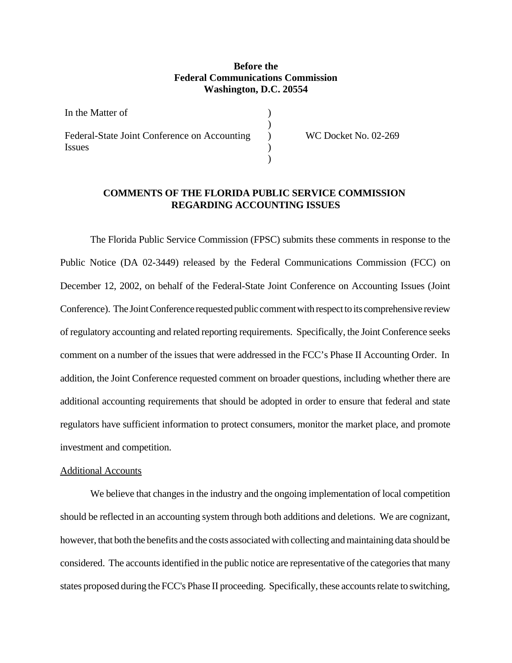### **Before the Federal Communications Commission Washington, D.C. 20554**

| In the Matter of                             |  |
|----------------------------------------------|--|
|                                              |  |
| Federal-State Joint Conference on Accounting |  |
| Issues                                       |  |
|                                              |  |

WC Docket No. 02-269

## **COMMENTS OF THE FLORIDA PUBLIC SERVICE COMMISSION REGARDING ACCOUNTING ISSUES**

The Florida Public Service Commission (FPSC) submits these comments in response to the Public Notice (DA 02-3449) released by the Federal Communications Commission (FCC) on December 12, 2002, on behalf of the Federal-State Joint Conference on Accounting Issues (Joint Conference). The Joint Conference requested public comment with respect to its comprehensive review of regulatory accounting and related reporting requirements. Specifically, the Joint Conference seeks comment on a number of the issues that were addressed in the FCC's Phase II Accounting Order. In addition, the Joint Conference requested comment on broader questions, including whether there are additional accounting requirements that should be adopted in order to ensure that federal and state regulators have sufficient information to protect consumers, monitor the market place, and promote investment and competition.

#### Additional Accounts

We believe that changes in the industry and the ongoing implementation of local competition should be reflected in an accounting system through both additions and deletions. We are cognizant, however, that both the benefits and the costs associated with collecting and maintaining data should be considered. The accounts identified in the public notice are representative of the categories that many states proposed during the FCC's Phase II proceeding. Specifically, these accounts relate to switching,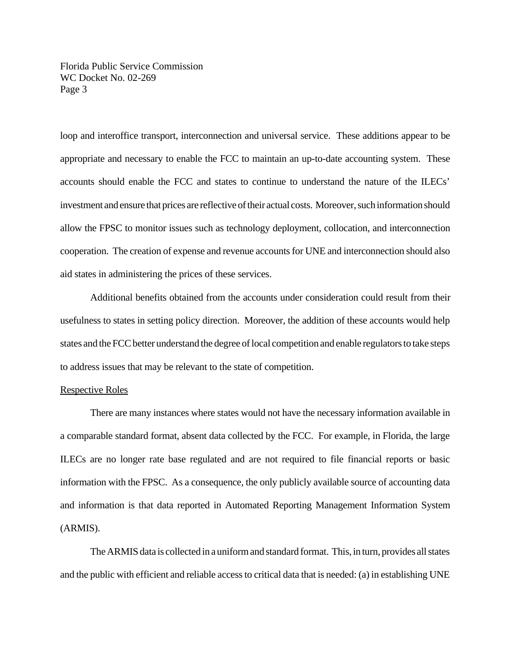Florida Public Service Commission WC Docket No. 02-269 Page 3

loop and interoffice transport, interconnection and universal service. These additions appear to be appropriate and necessary to enable the FCC to maintain an up-to-date accounting system. These accounts should enable the FCC and states to continue to understand the nature of the ILECs' investment and ensure that prices are reflective of their actual costs. Moreover, such information should allow the FPSC to monitor issues such as technology deployment, collocation, and interconnection cooperation. The creation of expense and revenue accounts for UNE and interconnection should also aid states in administering the prices of these services.

Additional benefits obtained from the accounts under consideration could result from their usefulness to states in setting policy direction. Moreover, the addition of these accounts would help states and the FCC better understand the degree of local competition and enable regulators to take steps to address issues that may be relevant to the state of competition.

#### Respective Roles

There are many instances where states would not have the necessary information available in a comparable standard format, absent data collected by the FCC. For example, in Florida, the large ILECs are no longer rate base regulated and are not required to file financial reports or basic information with the FPSC. As a consequence, the only publicly available source of accounting data and information is that data reported in Automated Reporting Management Information System (ARMIS).

The ARMIS data is collected in a uniform and standard format. This, in turn, provides all states and the public with efficient and reliable access to critical data that is needed: (a) in establishing UNE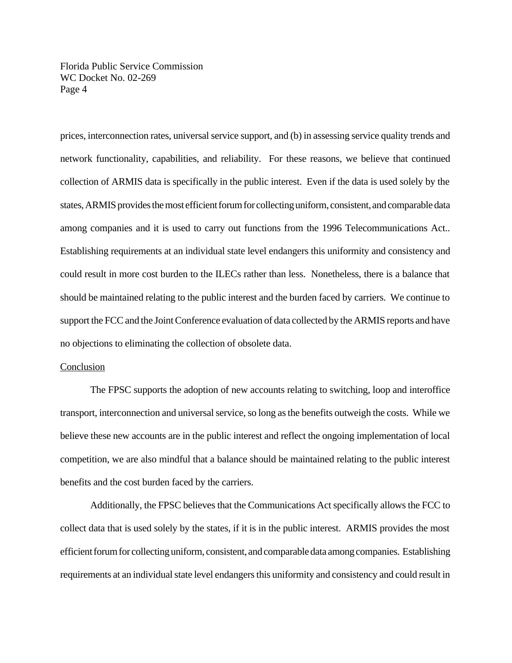Florida Public Service Commission WC Docket No. 02-269 Page 4

prices, interconnection rates, universal service support, and (b) in assessing service quality trends and network functionality, capabilities, and reliability. For these reasons, we believe that continued collection of ARMIS data is specifically in the public interest. Even if the data is used solely by the states, ARMIS provides the most efficient forum for collecting uniform, consistent, and comparable data among companies and it is used to carry out functions from the 1996 Telecommunications Act.. Establishing requirements at an individual state level endangers this uniformity and consistency and could result in more cost burden to the ILECs rather than less. Nonetheless, there is a balance that should be maintained relating to the public interest and the burden faced by carriers. We continue to support the FCC and the Joint Conference evaluation of data collected by the ARMIS reports and have no objections to eliminating the collection of obsolete data.

#### Conclusion

The FPSC supports the adoption of new accounts relating to switching, loop and interoffice transport, interconnection and universal service, so long as the benefits outweigh the costs. While we believe these new accounts are in the public interest and reflect the ongoing implementation of local competition, we are also mindful that a balance should be maintained relating to the public interest benefits and the cost burden faced by the carriers.

Additionally, the FPSC believes that the Communications Act specifically allows the FCC to collect data that is used solely by the states, if it is in the public interest. ARMIS provides the most efficient forum for collecting uniform, consistent, and comparable data among companies. Establishing requirements at an individual state level endangers this uniformity and consistency and could result in